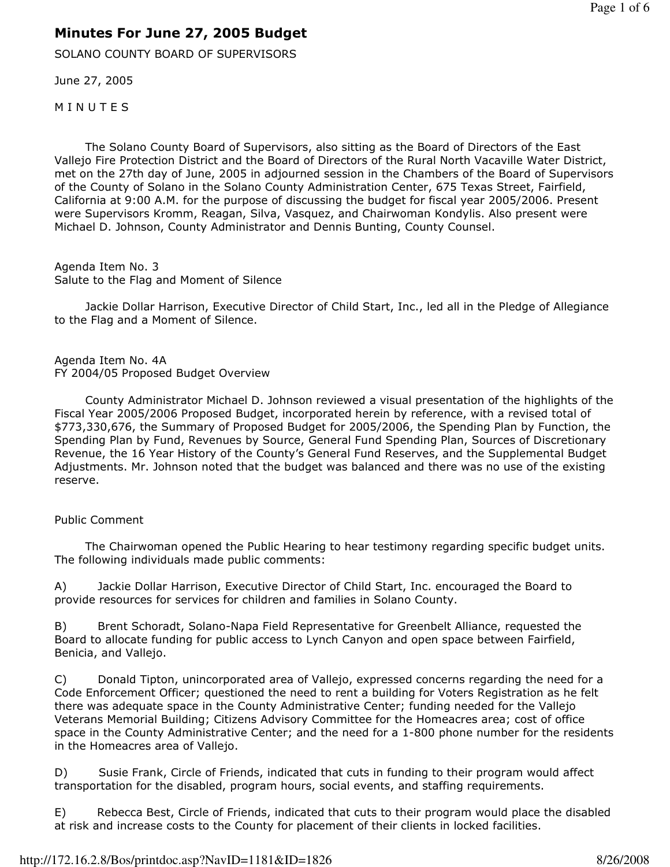# Minutes For June 27, 2005 Budget

SOLANO COUNTY BOARD OF SUPERVISORS

June 27, 2005

**MINUTES** 

 The Solano County Board of Supervisors, also sitting as the Board of Directors of the East Vallejo Fire Protection District and the Board of Directors of the Rural North Vacaville Water District, met on the 27th day of June, 2005 in adjourned session in the Chambers of the Board of Supervisors of the County of Solano in the Solano County Administration Center, 675 Texas Street, Fairfield, California at 9:00 A.M. for the purpose of discussing the budget for fiscal year 2005/2006. Present were Supervisors Kromm, Reagan, Silva, Vasquez, and Chairwoman Kondylis. Also present were Michael D. Johnson, County Administrator and Dennis Bunting, County Counsel.

Agenda Item No. 3 Salute to the Flag and Moment of Silence

 Jackie Dollar Harrison, Executive Director of Child Start, Inc., led all in the Pledge of Allegiance to the Flag and a Moment of Silence.

Agenda Item No. 4A FY 2004/05 Proposed Budget Overview

 County Administrator Michael D. Johnson reviewed a visual presentation of the highlights of the Fiscal Year 2005/2006 Proposed Budget, incorporated herein by reference, with a revised total of \$773,330,676, the Summary of Proposed Budget for 2005/2006, the Spending Plan by Function, the Spending Plan by Fund, Revenues by Source, General Fund Spending Plan, Sources of Discretionary Revenue, the 16 Year History of the County's General Fund Reserves, and the Supplemental Budget Adjustments. Mr. Johnson noted that the budget was balanced and there was no use of the existing reserve.

### Public Comment

 The Chairwoman opened the Public Hearing to hear testimony regarding specific budget units. The following individuals made public comments:

A) Jackie Dollar Harrison, Executive Director of Child Start, Inc. encouraged the Board to provide resources for services for children and families in Solano County.

B) Brent Schoradt, Solano-Napa Field Representative for Greenbelt Alliance, requested the Board to allocate funding for public access to Lynch Canyon and open space between Fairfield, Benicia, and Vallejo.

C) Donald Tipton, unincorporated area of Vallejo, expressed concerns regarding the need for a Code Enforcement Officer; questioned the need to rent a building for Voters Registration as he felt there was adequate space in the County Administrative Center; funding needed for the Vallejo Veterans Memorial Building; Citizens Advisory Committee for the Homeacres area; cost of office space in the County Administrative Center; and the need for a 1-800 phone number for the residents in the Homeacres area of Vallejo.

D) Susie Frank, Circle of Friends, indicated that cuts in funding to their program would affect transportation for the disabled, program hours, social events, and staffing requirements.

E) Rebecca Best, Circle of Friends, indicated that cuts to their program would place the disabled at risk and increase costs to the County for placement of their clients in locked facilities.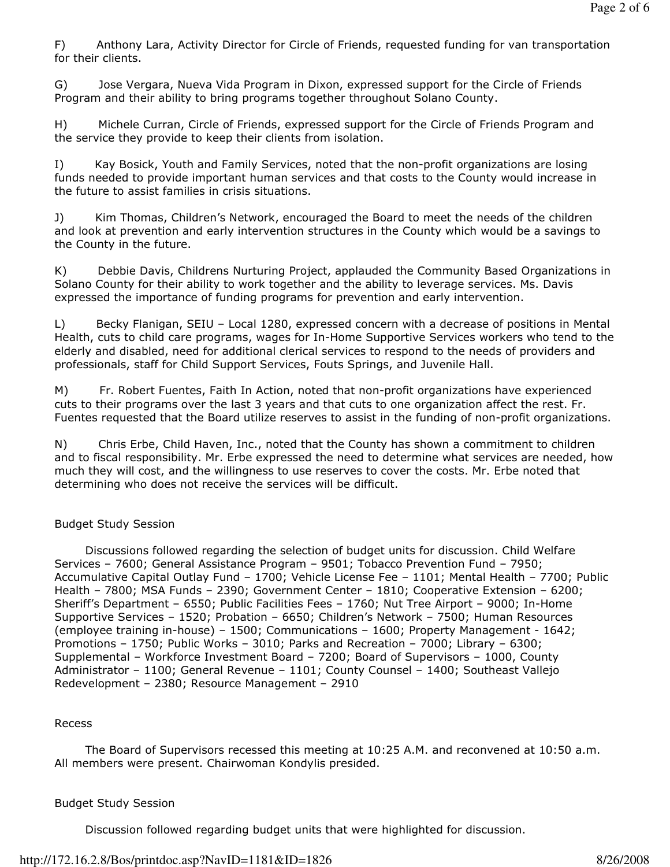F) Anthony Lara, Activity Director for Circle of Friends, requested funding for van transportation for their clients.

G) Jose Vergara, Nueva Vida Program in Dixon, expressed support for the Circle of Friends Program and their ability to bring programs together throughout Solano County.

H) Michele Curran, Circle of Friends, expressed support for the Circle of Friends Program and the service they provide to keep their clients from isolation.

I) Kay Bosick, Youth and Family Services, noted that the non-profit organizations are losing funds needed to provide important human services and that costs to the County would increase in the future to assist families in crisis situations.

J) Kim Thomas, Children's Network, encouraged the Board to meet the needs of the children and look at prevention and early intervention structures in the County which would be a savings to the County in the future.

K) Debbie Davis, Childrens Nurturing Project, applauded the Community Based Organizations in Solano County for their ability to work together and the ability to leverage services. Ms. Davis expressed the importance of funding programs for prevention and early intervention.

L) Becky Flanigan, SEIU – Local 1280, expressed concern with a decrease of positions in Mental Health, cuts to child care programs, wages for In-Home Supportive Services workers who tend to the elderly and disabled, need for additional clerical services to respond to the needs of providers and professionals, staff for Child Support Services, Fouts Springs, and Juvenile Hall.

M) Fr. Robert Fuentes, Faith In Action, noted that non-profit organizations have experienced cuts to their programs over the last 3 years and that cuts to one organization affect the rest. Fr. Fuentes requested that the Board utilize reserves to assist in the funding of non-profit organizations.

N) Chris Erbe, Child Haven, Inc., noted that the County has shown a commitment to children and to fiscal responsibility. Mr. Erbe expressed the need to determine what services are needed, how much they will cost, and the willingness to use reserves to cover the costs. Mr. Erbe noted that determining who does not receive the services will be difficult.

### Budget Study Session

 Discussions followed regarding the selection of budget units for discussion. Child Welfare Services – 7600; General Assistance Program – 9501; Tobacco Prevention Fund – 7950; Accumulative Capital Outlay Fund – 1700; Vehicle License Fee – 1101; Mental Health – 7700; Public Health – 7800; MSA Funds – 2390; Government Center – 1810; Cooperative Extension – 6200; Sheriff's Department – 6550; Public Facilities Fees – 1760; Nut Tree Airport – 9000; In-Home Supportive Services – 1520; Probation – 6650; Children's Network – 7500; Human Resources (employee training in-house) – 1500; Communications – 1600; Property Management - 1642; Promotions – 1750; Public Works – 3010; Parks and Recreation – 7000; Library – 6300; Supplemental – Workforce Investment Board – 7200; Board of Supervisors – 1000, County Administrator – 1100; General Revenue – 1101; County Counsel – 1400; Southeast Vallejo Redevelopment – 2380; Resource Management – 2910

### Recess

 The Board of Supervisors recessed this meeting at 10:25 A.M. and reconvened at 10:50 a.m. All members were present. Chairwoman Kondylis presided.

### Budget Study Session

Discussion followed regarding budget units that were highlighted for discussion.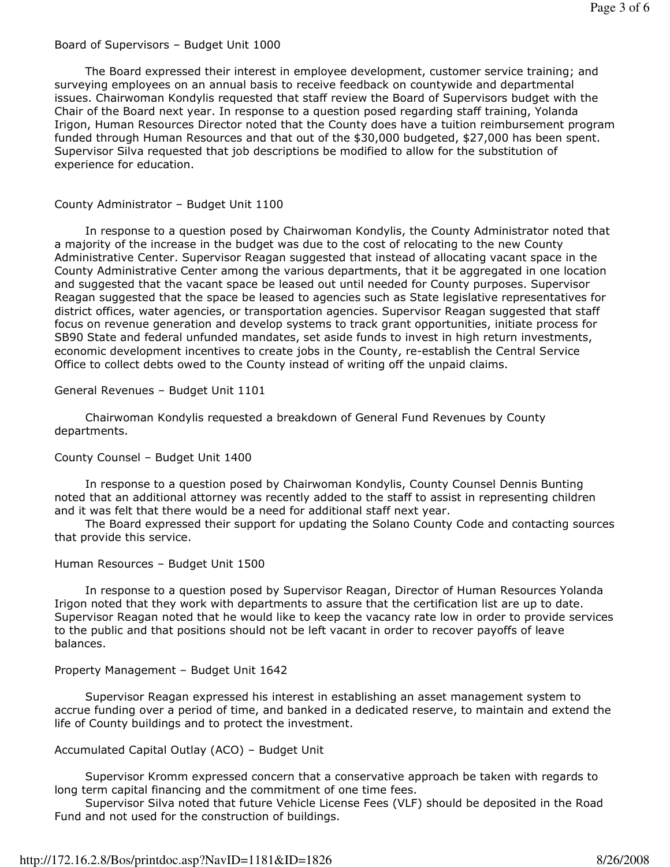#### Board of Supervisors – Budget Unit 1000

 The Board expressed their interest in employee development, customer service training; and surveying employees on an annual basis to receive feedback on countywide and departmental issues. Chairwoman Kondylis requested that staff review the Board of Supervisors budget with the Chair of the Board next year. In response to a question posed regarding staff training, Yolanda Irigon, Human Resources Director noted that the County does have a tuition reimbursement program funded through Human Resources and that out of the \$30,000 budgeted, \$27,000 has been spent. Supervisor Silva requested that job descriptions be modified to allow for the substitution of experience for education.

#### County Administrator – Budget Unit 1100

 In response to a question posed by Chairwoman Kondylis, the County Administrator noted that a majority of the increase in the budget was due to the cost of relocating to the new County Administrative Center. Supervisor Reagan suggested that instead of allocating vacant space in the County Administrative Center among the various departments, that it be aggregated in one location and suggested that the vacant space be leased out until needed for County purposes. Supervisor Reagan suggested that the space be leased to agencies such as State legislative representatives for district offices, water agencies, or transportation agencies. Supervisor Reagan suggested that staff focus on revenue generation and develop systems to track grant opportunities, initiate process for SB90 State and federal unfunded mandates, set aside funds to invest in high return investments, economic development incentives to create jobs in the County, re-establish the Central Service Office to collect debts owed to the County instead of writing off the unpaid claims.

#### General Revenues – Budget Unit 1101

 Chairwoman Kondylis requested a breakdown of General Fund Revenues by County departments.

#### County Counsel – Budget Unit 1400

 In response to a question posed by Chairwoman Kondylis, County Counsel Dennis Bunting noted that an additional attorney was recently added to the staff to assist in representing children and it was felt that there would be a need for additional staff next year.

 The Board expressed their support for updating the Solano County Code and contacting sources that provide this service.

#### Human Resources – Budget Unit 1500

 In response to a question posed by Supervisor Reagan, Director of Human Resources Yolanda Irigon noted that they work with departments to assure that the certification list are up to date. Supervisor Reagan noted that he would like to keep the vacancy rate low in order to provide services to the public and that positions should not be left vacant in order to recover payoffs of leave balances.

#### Property Management – Budget Unit 1642

 Supervisor Reagan expressed his interest in establishing an asset management system to accrue funding over a period of time, and banked in a dedicated reserve, to maintain and extend the life of County buildings and to protect the investment.

#### Accumulated Capital Outlay (ACO) – Budget Unit

 Supervisor Kromm expressed concern that a conservative approach be taken with regards to long term capital financing and the commitment of one time fees.

 Supervisor Silva noted that future Vehicle License Fees (VLF) should be deposited in the Road Fund and not used for the construction of buildings.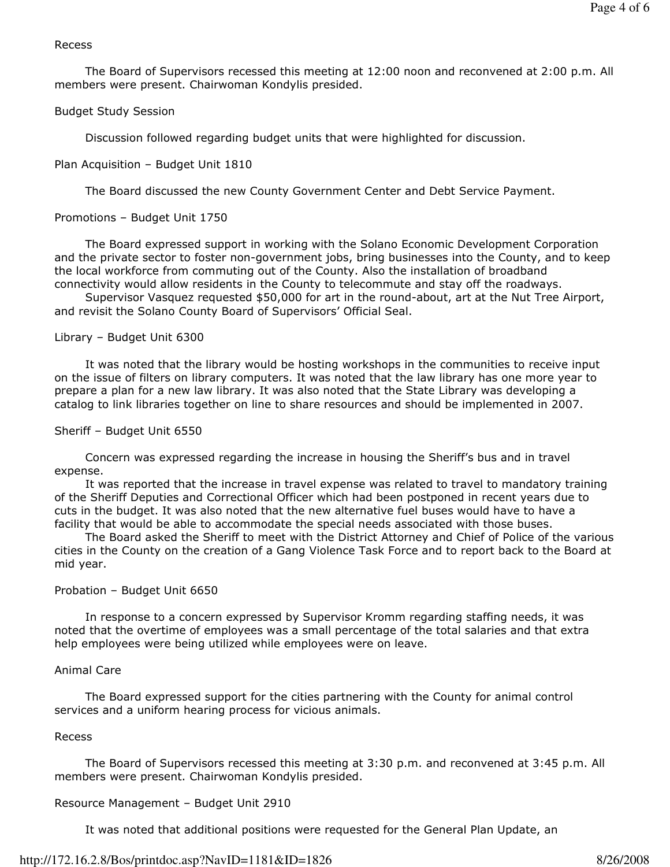### Recess

 The Board of Supervisors recessed this meeting at 12:00 noon and reconvened at 2:00 p.m. All members were present. Chairwoman Kondylis presided.

# Budget Study Session

Discussion followed regarding budget units that were highlighted for discussion.

### Plan Acquisition – Budget Unit 1810

The Board discussed the new County Government Center and Debt Service Payment.

# Promotions – Budget Unit 1750

 The Board expressed support in working with the Solano Economic Development Corporation and the private sector to foster non-government jobs, bring businesses into the County, and to keep the local workforce from commuting out of the County. Also the installation of broadband connectivity would allow residents in the County to telecommute and stay off the roadways.

 Supervisor Vasquez requested \$50,000 for art in the round-about, art at the Nut Tree Airport, and revisit the Solano County Board of Supervisors' Official Seal.

# Library – Budget Unit 6300

 It was noted that the library would be hosting workshops in the communities to receive input on the issue of filters on library computers. It was noted that the law library has one more year to prepare a plan for a new law library. It was also noted that the State Library was developing a catalog to link libraries together on line to share resources and should be implemented in 2007.

### Sheriff – Budget Unit 6550

 Concern was expressed regarding the increase in housing the Sheriff's bus and in travel expense.

 It was reported that the increase in travel expense was related to travel to mandatory training of the Sheriff Deputies and Correctional Officer which had been postponed in recent years due to cuts in the budget. It was also noted that the new alternative fuel buses would have to have a facility that would be able to accommodate the special needs associated with those buses.

 The Board asked the Sheriff to meet with the District Attorney and Chief of Police of the various cities in the County on the creation of a Gang Violence Task Force and to report back to the Board at mid year.

### Probation – Budget Unit 6650

 In response to a concern expressed by Supervisor Kromm regarding staffing needs, it was noted that the overtime of employees was a small percentage of the total salaries and that extra help employees were being utilized while employees were on leave.

### Animal Care

 The Board expressed support for the cities partnering with the County for animal control services and a uniform hearing process for vicious animals.

# Recess

 The Board of Supervisors recessed this meeting at 3:30 p.m. and reconvened at 3:45 p.m. All members were present. Chairwoman Kondylis presided.

# Resource Management – Budget Unit 2910

It was noted that additional positions were requested for the General Plan Update, an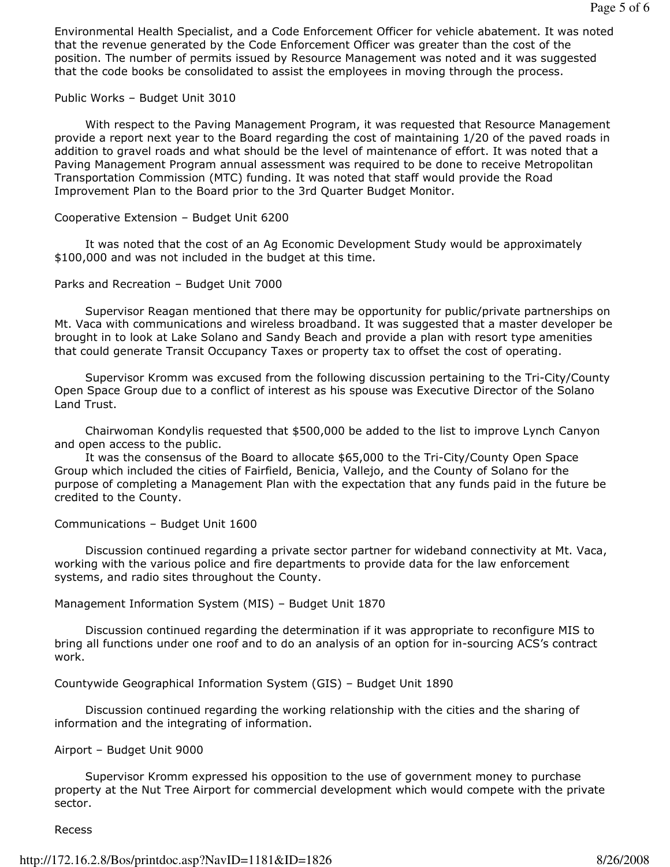Environmental Health Specialist, and a Code Enforcement Officer for vehicle abatement. It was noted that the revenue generated by the Code Enforcement Officer was greater than the cost of the position. The number of permits issued by Resource Management was noted and it was suggested that the code books be consolidated to assist the employees in moving through the process.

#### Public Works – Budget Unit 3010

 With respect to the Paving Management Program, it was requested that Resource Management provide a report next year to the Board regarding the cost of maintaining 1/20 of the paved roads in addition to gravel roads and what should be the level of maintenance of effort. It was noted that a Paving Management Program annual assessment was required to be done to receive Metropolitan Transportation Commission (MTC) funding. It was noted that staff would provide the Road Improvement Plan to the Board prior to the 3rd Quarter Budget Monitor.

#### Cooperative Extension – Budget Unit 6200

 It was noted that the cost of an Ag Economic Development Study would be approximately \$100,000 and was not included in the budget at this time.

#### Parks and Recreation – Budget Unit 7000

 Supervisor Reagan mentioned that there may be opportunity for public/private partnerships on Mt. Vaca with communications and wireless broadband. It was suggested that a master developer be brought in to look at Lake Solano and Sandy Beach and provide a plan with resort type amenities that could generate Transit Occupancy Taxes or property tax to offset the cost of operating.

 Supervisor Kromm was excused from the following discussion pertaining to the Tri-City/County Open Space Group due to a conflict of interest as his spouse was Executive Director of the Solano Land Trust.

 Chairwoman Kondylis requested that \$500,000 be added to the list to improve Lynch Canyon and open access to the public.

 It was the consensus of the Board to allocate \$65,000 to the Tri-City/County Open Space Group which included the cities of Fairfield, Benicia, Vallejo, and the County of Solano for the purpose of completing a Management Plan with the expectation that any funds paid in the future be credited to the County.

```
Communications – Budget Unit 1600
```
 Discussion continued regarding a private sector partner for wideband connectivity at Mt. Vaca, working with the various police and fire departments to provide data for the law enforcement systems, and radio sites throughout the County.

Management Information System (MIS) – Budget Unit 1870

 Discussion continued regarding the determination if it was appropriate to reconfigure MIS to bring all functions under one roof and to do an analysis of an option for in-sourcing ACS's contract work.

Countywide Geographical Information System (GIS) – Budget Unit 1890

 Discussion continued regarding the working relationship with the cities and the sharing of information and the integrating of information.

### Airport – Budget Unit 9000

 Supervisor Kromm expressed his opposition to the use of government money to purchase property at the Nut Tree Airport for commercial development which would compete with the private sector.

#### Recess